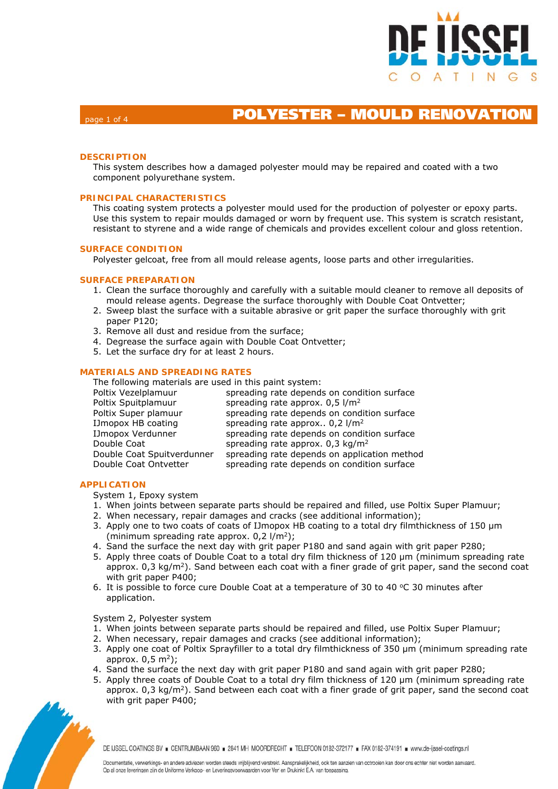

### page 1 of 4 **POLYESTER – MOULD RENOVATION**

### **DESCRIPTION**

This system describes how a damaged polyester mould may be repaired and coated with a two component polyurethane system.

### **PRINCIPAL CHARACTERISTICS**

This coating system protects a polyester mould used for the production of polyester or epoxy parts. Use this system to repair moulds damaged or worn by frequent use. This system is scratch resistant, resistant to styrene and a wide range of chemicals and provides excellent colour and gloss retention.

### **SURFACE CONDITION**

Polyester gelcoat, free from all mould release agents, loose parts and other irregularities.

### **SURFACE PREPARATION**

- 1. Clean the surface thoroughly and carefully with a suitable mould cleaner to remove all deposits of mould release agents. Degrease the surface thoroughly with Double Coat Ontvetter;
- 2. Sweep blast the surface with a suitable abrasive or grit paper the surface thoroughly with grit paper P120;
- 3. Remove all dust and residue from the surface;
- 4. Degrease the surface again with Double Coat Ontvetter;
- 5. Let the surface dry for at least 2 hours.

### **MATERIALS AND SPREADING RATES**

The following materials are used in this paint system:

| Poltix Vezelplamuur        | spreading rate depends on condition surface   |
|----------------------------|-----------------------------------------------|
| Poltix Spuitplamuur        | spreading rate approx. $0.5$ l/m <sup>2</sup> |
| Poltix Super plamuur       | spreading rate depends on condition surface   |
| IJmopox HB coating         | spreading rate approx $0.2$ l/m <sup>2</sup>  |
| IJmopox Verdunner          | spreading rate depends on condition surface   |
| Double Coat                | spreading rate approx. $0.3 \text{ kg/m}^2$   |
| Double Coat Spuitverdunner | spreading rate depends on application method  |
| Double Coat Ontvetter      | spreading rate depends on condition surface   |

### **APPLICATION**

System 1, Epoxy system

- 1. When joints between separate parts should be repaired and filled, use Poltix Super Plamuur;
- 2. When necessary, repair damages and cracks (see additional information);
- 3. Apply one to two coats of coats of IJmopox HB coating to a total dry filmthickness of 150 μm (minimum spreading rate approx.  $0.2$  l/m<sup>2</sup>);
- 4. Sand the surface the next day with grit paper P180 and sand again with grit paper P280;
- 5. Apply three coats of Double Coat to a total dry film thickness of 120 µm (minimum spreading rate approx.  $0.3 \text{ kg/m}^2$ ). Sand between each coat with a finer grade of grit paper, sand the second coat with grit paper P400;
- 6. It is possible to force cure Double Coat at a temperature of 30 to 40  $\degree$ C 30 minutes after application.

### System 2, Polyester system

- 1. When joints between separate parts should be repaired and filled, use Poltix Super Plamuur;
- 2. When necessary, repair damages and cracks (see additional information);
- 3. Apply one coat of Poltix Sprayfiller to a total dry filmthickness of 350 μm (minimum spreading rate approx.  $0.5$  m<sup>2</sup>);
- 4. Sand the surface the next day with grit paper P180 and sand again with grit paper P280;
- 5. Apply three coats of Double Coat to a total dry film thickness of 120 µm (minimum spreading rate approx.  $0.3 \text{ kg/m}^2$ ). Sand between each coat with a finer grade of grit paper, sand the second coat with grit paper P400;



DE IJSSEL COATINGS BV = CENTRUMBAAN 960 = 2841 MH MOORDRECHT = TELEFOON 0182-372177 = FAX 0182-374191 = www.de-iissel-coatings.nl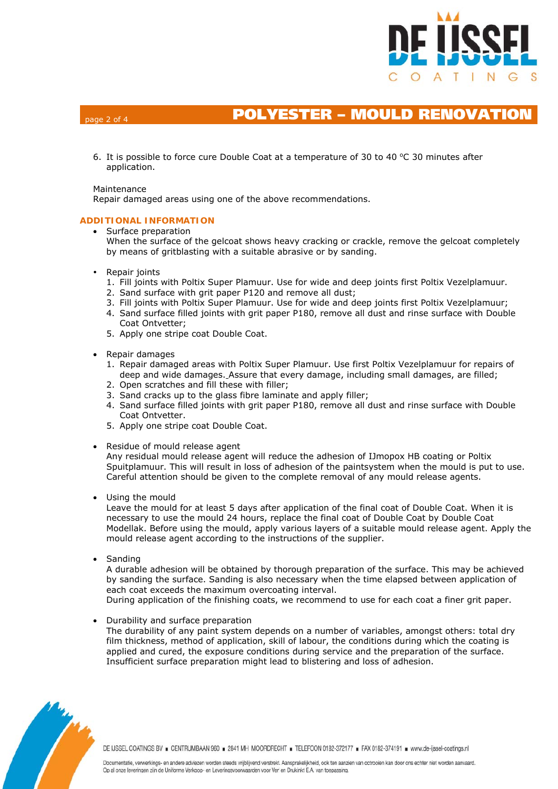

## **POLYESTER – MOULD RENOVATION**

6. It is possible to force cure Double Coat at a temperature of 30 to 40  $\degree$ C 30 minutes after application.

### Maintenance

Repair damaged areas using one of the above recommendations.

### **ADDITIONAL INFORMATION**

- Surface preparation When the surface of the gelcoat shows heavy cracking or crackle, remove the gelcoat completely by means of gritblasting with a suitable abrasive or by sanding.
- Repair joints
	- 1. Fill joints with Poltix Super Plamuur. Use for wide and deep joints first Poltix Vezelplamuur.
	- 2. Sand surface with grit paper P120 and remove all dust;
	- 3. Fill joints with Poltix Super Plamuur. Use for wide and deep joints first Poltix Vezelplamuur;
	- 4. Sand surface filled joints with grit paper P180, remove all dust and rinse surface with Double Coat Ontvetter;
	- 5. Apply one stripe coat Double Coat.
- Repair damages
	- 1. Repair damaged areas with Poltix Super Plamuur. Use first Poltix Vezelplamuur for repairs of deep and wide damages. Assure that every damage, including small damages, are filled;
	- 2. Open scratches and fill these with filler;
	- 3. Sand cracks up to the glass fibre laminate and apply filler;
	- 4. Sand surface filled joints with grit paper P180, remove all dust and rinse surface with Double Coat Ontvetter.
	- 5. Apply one stripe coat Double Coat.
- Residue of mould release agent

Any residual mould release agent will reduce the adhesion of IJmopox HB coating or Poltix Spuitplamuur. This will result in loss of adhesion of the paintsystem when the mould is put to use. Careful attention should be given to the complete removal of any mould release agents.

• Using the mould

Leave the mould for at least 5 days after application of the final coat of Double Coat. When it is necessary to use the mould 24 hours, replace the final coat of Double Coat by Double Coat Modellak. Before using the mould, apply various layers of a suitable mould release agent. Apply the mould release agent according to the instructions of the supplier.

• Sanding

A durable adhesion will be obtained by thorough preparation of the surface. This may be achieved by sanding the surface. Sanding is also necessary when the time elapsed between application of each coat exceeds the maximum overcoating interval.

During application of the finishing coats, we recommend to use for each coat a finer grit paper.

• Durability and surface preparation

The durability of any paint system depends on a number of variables, amongst others: total dry film thickness, method of application, skill of labour, the conditions during which the coating is applied and cured, the exposure conditions during service and the preparation of the surface. Insufficient surface preparation might lead to blistering and loss of adhesion.



DE IJSSEL COATINGS BV = CENTRUMBAAN 960 = 2841 MH MOORDRECHT = TELEFOON 0182-372177 = FAX 0182-374191 = www.de-ijssel-coatings.nl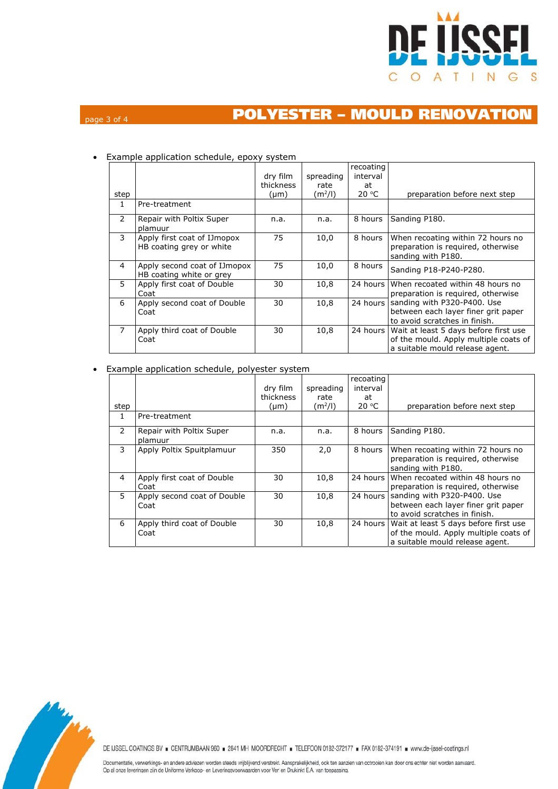

# page 3 of 4 **POLYESTER – MOULD RENOVATION**

| step           |                                                          | dry film<br>thickness<br>(µm) | spreading<br>rate<br>$(m^2/l)$ | recoating<br>interval<br>at<br>20 °C | preparation before next step                                                                                      |
|----------------|----------------------------------------------------------|-------------------------------|--------------------------------|--------------------------------------|-------------------------------------------------------------------------------------------------------------------|
| 1              | Pre-treatment                                            |                               |                                |                                      |                                                                                                                   |
| $\mathcal{P}$  | Repair with Poltix Super<br>plamuur                      | n.a.                          | n.a.                           | 8 hours                              | Sanding P180.                                                                                                     |
| 3              | Apply first coat of IJmopox<br>HB coating grey or white  | 75                            | 10,0                           | 8 hours                              | When recoating within 72 hours no<br>preparation is required, otherwise<br>sanding with P180.                     |
| 4              | Apply second coat of IJmopox<br>HB coating white or grey | 75                            | 10,0                           | 8 hours                              | Sanding P18-P240-P280.                                                                                            |
| 5              | Apply first coat of Double<br>Coat                       | 30                            | 10,8                           | 24 hours                             | When recoated within 48 hours no<br>preparation is required, otherwise                                            |
| 6              | Apply second coat of Double<br>Coat                      | 30                            | 10,8                           | 24 hours                             | sanding with P320-P400. Use<br>between each layer finer grit paper<br>to avoid scratches in finish.               |
| $\overline{7}$ | Apply third coat of Double<br>Coat                       | 30                            | 10,8                           | 24 hours                             | Wait at least 5 days before first use<br>of the mould. Apply multiple coats of<br>a suitable mould release agent. |

### • Example application schedule, epoxy system

• Example application schedule, polyester system

|               |                                     | dry film<br>thickness | spreading<br>rate   | recoating<br>interval<br>at |                                                                                                                            |
|---------------|-------------------------------------|-----------------------|---------------------|-----------------------------|----------------------------------------------------------------------------------------------------------------------------|
| step          |                                     | (µm)                  | (m <sup>2</sup> /I) | 20 °C                       | preparation before next step                                                                                               |
| 1.            | Pre-treatment                       |                       |                     |                             |                                                                                                                            |
| $\mathcal{P}$ | Repair with Poltix Super<br>plamuur | n.a.                  | n.a.                | 8 hours                     | Sanding P180.                                                                                                              |
| 3             | Apply Poltix Spuitplamuur           | 350                   | 2,0                 | 8 hours                     | When recoating within 72 hours no<br>preparation is required, otherwise<br>sanding with P180.                              |
| 4             | Apply first coat of Double<br>Coat  | 30                    | 10,8                | 24 hours                    | When recoated within 48 hours no<br>preparation is required, otherwise                                                     |
| 5             | Apply second coat of Double<br>Coat | 30                    | 10,8                |                             | 24 hours Sanding with P320-P400. Use<br>between each layer finer grit paper<br>to avoid scratches in finish.               |
| 6             | Apply third coat of Double<br>Coat  | 30                    | 10,8                |                             | 24 hours Wait at least 5 days before first use<br>of the mould. Apply multiple coats of<br>a suitable mould release agent. |